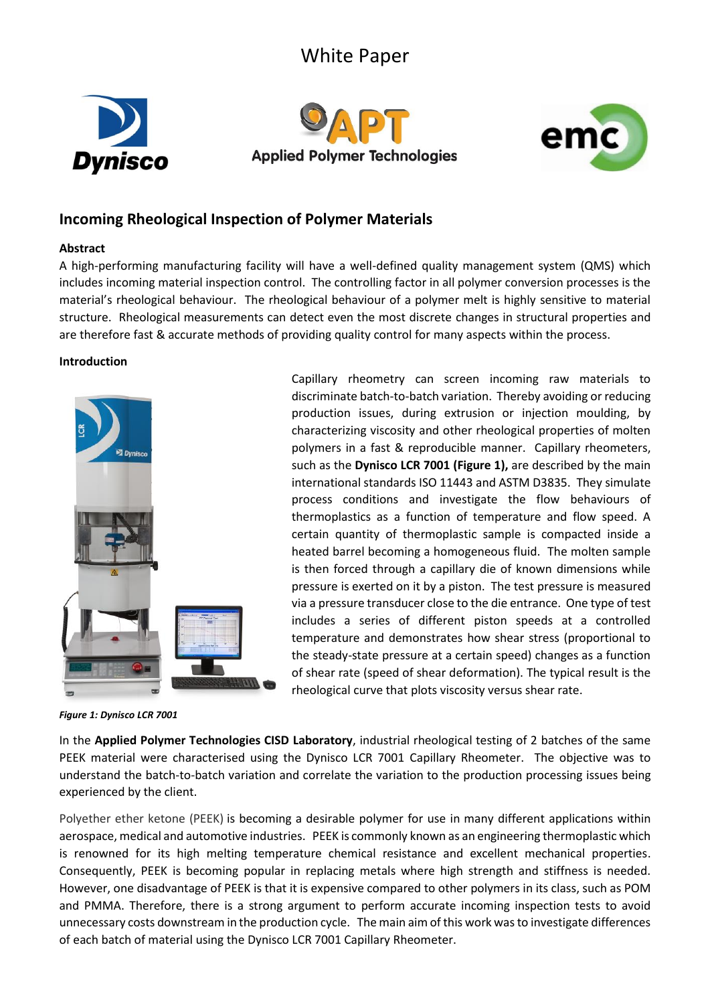# White Paper







## **Incoming Rheological Inspection of Polymer Materials**

### **Abstract**

A high-performing manufacturing facility will have a well-defined quality management system (QMS) which includes incoming material inspection control. The controlling factor in all polymer conversion processes is the material's rheological behaviour. The rheological behaviour of a polymer melt is highly sensitive to material structure. Rheological measurements can detect even the most discrete changes in structural properties and are therefore fast & accurate methods of providing quality control for many aspects within the process.

#### **Introduction**



*Figure 1: Dynisco LCR 7001*

Capillary rheometry can screen incoming raw materials to discriminate batch-to-batch variation. Thereby avoiding or reducing production issues, during extrusion or injection moulding, by characterizing viscosity and other rheological properties of molten polymers in a fast & reproducible manner. Capillary rheometers, such as the **Dynisco LCR 7001 (Figure 1),** are described by the main international standards ISO 11443 and ASTM D3835. They simulate process conditions and investigate the flow behaviours of thermoplastics as a function of temperature and flow speed. A certain quantity of thermoplastic sample is compacted inside a heated barrel becoming a homogeneous fluid. The molten sample is then forced through a capillary die of known dimensions while pressure is exerted on it by a piston. The test pressure is measured via a pressure transducer close to the die entrance. One type of test includes a series of different piston speeds at a controlled temperature and demonstrates how shear stress (proportional to the steady-state pressure at a certain speed) changes as a function of shear rate (speed of shear deformation). The typical result is the rheological curve that plots viscosity versus shear rate.

In the **Applied Polymer Technologies CISD Laboratory**, industrial rheological testing of 2 batches of the same PEEK material were characterised using the Dynisco LCR 7001 Capillary Rheometer. The objective was to understand the batch-to-batch variation and correlate the variation to the production processing issues being experienced by the client.

Polyether ether ketone (PEEK) is becoming a desirable polymer for use in many different applications within aerospace, medical and automotive industries. PEEK is commonly known as an engineering thermoplastic which is renowned for its high melting temperature chemical resistance and excellent mechanical properties. Consequently, PEEK is becoming popular in replacing metals where high strength and stiffness is needed. However, one disadvantage of PEEK is that it is expensive compared to other polymers in its class, such as POM and PMMA. Therefore, there is a strong argument to perform accurate incoming inspection tests to avoid unnecessary costs downstream in the production cycle. The main aim of this work was to investigate differences of each batch of material using the Dynisco LCR 7001 Capillary Rheometer.